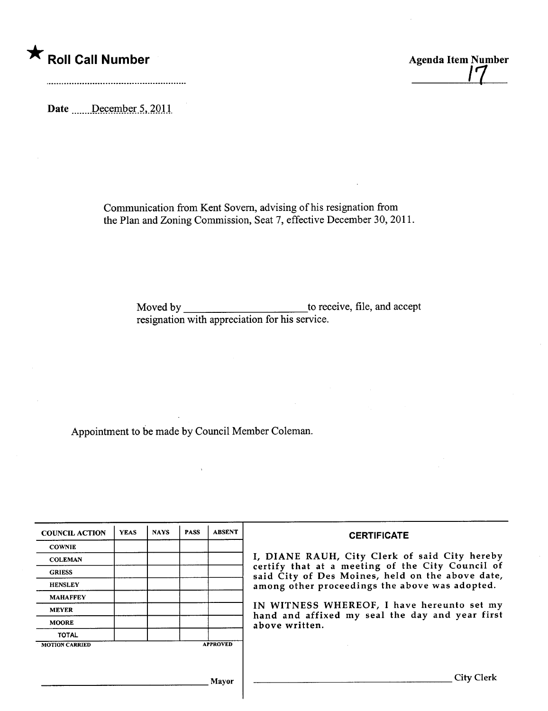## \* Roll Call Number Agenda Item Number

/7

Date \_\_\_\_\_\_December 5, 2011

Communication from Kent Sovem, advising of his resignation from the Plan and Zoning Commission, Seat 7, effective December 30, 2011.

> Moved by \_\_\_\_\_\_\_\_\_\_\_\_\_\_\_\_\_\_\_\_\_\_\_\_\_\_\_\_\_\_to receive, file, and accept resignation with appreciation for his service.

Appointment to be made by Council Member Coleman.

| <b>COUNCIL ACTION</b> | <b>YEAS</b> | <b>NAYS</b> | <b>PASS</b> | <b>ABSENT</b>   | <b>CERTIFICATE</b>                                                                                                                                                                                      |
|-----------------------|-------------|-------------|-------------|-----------------|---------------------------------------------------------------------------------------------------------------------------------------------------------------------------------------------------------|
| <b>COWNIE</b>         |             |             |             |                 |                                                                                                                                                                                                         |
| <b>COLEMAN</b>        |             |             |             |                 | I, DIANE RAUH, City Clerk of said City hereby<br>certify that at a meeting of the City Council of<br>said City of Des Moines, held on the above date,<br>among other proceedings the above was adopted. |
| <b>GRIESS</b>         |             |             |             |                 |                                                                                                                                                                                                         |
| <b>HENSLEY</b>        |             |             |             |                 |                                                                                                                                                                                                         |
| <b>MAHAFFEY</b>       |             |             |             |                 |                                                                                                                                                                                                         |
| <b>MEYER</b>          |             |             |             |                 | IN WITNESS WHEREOF, I have hereunto set my<br>hand and affixed my seal the day and year first<br>above written.                                                                                         |
| <b>MOORE</b>          |             |             |             |                 |                                                                                                                                                                                                         |
| <b>TOTAL</b>          |             |             |             |                 |                                                                                                                                                                                                         |
| <b>MOTION CARRIED</b> |             |             |             | <b>APPROVED</b> |                                                                                                                                                                                                         |
|                       |             |             |             |                 |                                                                                                                                                                                                         |
|                       | Mayor       |             |             |                 | City Clerk                                                                                                                                                                                              |